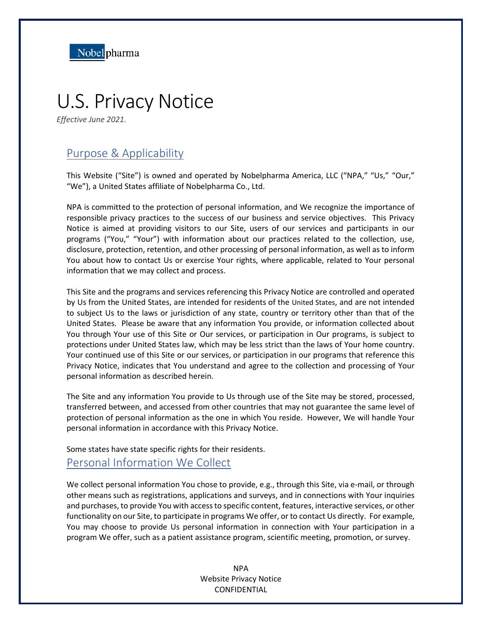

# U.S. Privacy Notice

*Effective June 2021.*

# Purpose & Applicability

This Website ("Site") is owned and operated by Nobelpharma America, LLC ("NPA," "Us," "Our," "We"), a United States affiliate of Nobelpharma Co., Ltd.

NPA is committed to the protection of personal information, and We recognize the importance of responsible privacy practices to the success of our business and service objectives. This Privacy Notice is aimed at providing visitors to our Site, users of our services and participants in our programs ("You," "Your") with information about our practices related to the collection, use, disclosure, protection, retention, and other processing of personal information, as well as to inform You about how to contact Us or exercise Your rights, where applicable, related to Your personal information that we may collect and process.

This Site and the programs and services referencing this Privacy Notice are controlled and operated by Us from the United States, are intended for residents of the United States, and are not intended to subject Us to the laws or jurisdiction of any state, country or territory other than that of the United States. Please be aware that any information You provide, or information collected about You through Your use of this Site or Our services, or participation in Our programs, is subject to protections under United States law, which may be less strict than the laws of Your home country. Your continued use of this Site or our services, or participation in our programs that reference this Privacy Notice, indicates that You understand and agree to the collection and processing of Your personal information as described herein.

The Site and any information You provide to Us through use of the Site may be stored, processed, transferred between, and accessed from other countries that may not guarantee the same level of protection of personal information as the one in which You reside. However, We will handle Your personal information in accordance with this Privacy Notice.

Some states have state specific rights for their residents.

### Personal Information We Collect

We collect personal information You chose to provide, e.g., through this Site, via e-mail, or through other means such as registrations, applications and surveys, and in connections with Your inquiries and purchases, to provide You with access to specific content, features, interactive services, or other functionality on our Site, to participate in programs We offer, or to contact Us directly. For example, You may choose to provide Us personal information in connection with Your participation in a program We offer, such as a patient assistance program, scientific meeting, promotion, or survey.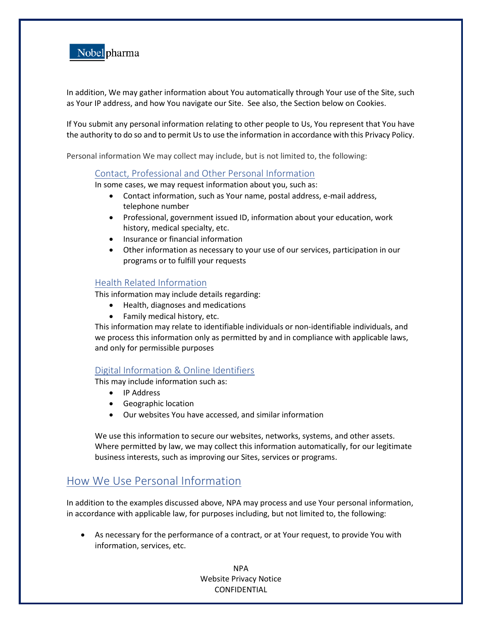

In addition, We may gather information about You automatically through Your use of the Site, such as Your IP address, and how You navigate our Site. See also, the Section below on Cookies.

If You submit any personal information relating to other people to Us, You represent that You have the authority to do so and to permit Us to use the information in accordance with this Privacy Policy.

Personal information We may collect may include, but is not limited to, the following:

#### Contact, Professional and Other Personal Information

In some cases, we may request information about you, such as:

- Contact information, such as Your name, postal address, e-mail address, telephone number
- Professional, government issued ID, information about your education, work history, medical specialty, etc.
- Insurance or financial information
- Other information as necessary to your use of our services, participation in our programs or to fulfill your requests

#### Health Related Information

This information may include details regarding:

- Health, diagnoses and medications
- Family medical history, etc.

This information may relate to identifiable individuals or non-identifiable individuals, and we process this information only as permitted by and in compliance with applicable laws, and only for permissible purposes

#### Digital Information & Online Identifiers

This may include information such as:

- IP Address
- Geographic location
- Our websites You have accessed, and similar information

We use this information to secure our websites, networks, systems, and other assets. Where permitted by law, we may collect this information automatically, for our legitimate business interests, such as improving our Sites, services or programs.

# How We Use Personal Information

In addition to the examples discussed above, NPA may process and use Your personal information, in accordance with applicable law, for purposes including, but not limited to, the following:

• As necessary for the performance of a contract, or at Your request, to provide You with information, services, etc.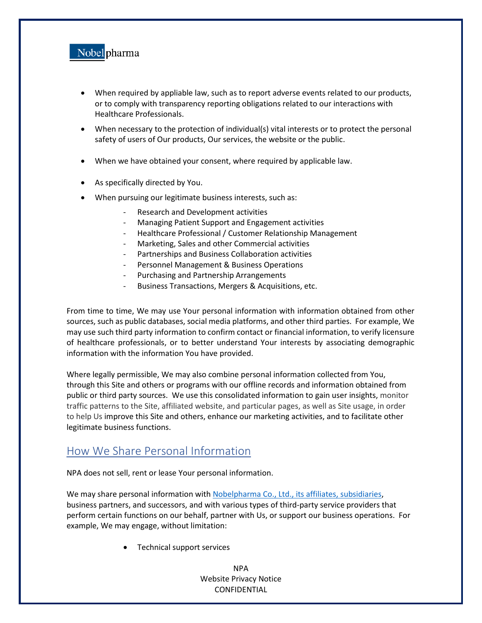

- When required by appliable law, such as to report adverse events related to our products, or to comply with transparency reporting obligations related to our interactions with Healthcare Professionals.
- When necessary to the protection of individual(s) vital interests or to protect the personal safety of users of Our products, Our services, the website or the public.
- When we have obtained your consent, where required by applicable law.
- As specifically directed by You.
- When pursuing our legitimate business interests, such as:
	- Research and Development activities
	- Managing Patient Support and Engagement activities
	- Healthcare Professional / Customer Relationship Management
	- Marketing, Sales and other Commercial activities
	- Partnerships and Business Collaboration activities
	- Personnel Management & Business Operations
	- Purchasing and Partnership Arrangements
	- Business Transactions, Mergers & Acquisitions, etc.

From time to time, We may use Your personal information with information obtained from other sources, such as public databases, social media platforms, and other third parties. For example, We may use such third party information to confirm contact or financial information, to verify licensure of healthcare professionals, or to better understand Your interests by associating demographic information with the information You have provided.

Where legally permissible, We may also combine personal information collected from You, through this Site and others or programs with our offline records and information obtained from public or third party sources. We use this consolidated information to gain user insights, monitor traffic patterns to the Site, affiliated website, and particular pages, as well as Site usage, in order to help Us improve this Site and others, enhance our marketing activities, and to facilitate other legitimate business functions.

# How We Share Personal Information

NPA does not sell, rent or lease Your personal information.

We may share personal information with [Nobelpharma Co., Ltd., its affiliates,](https://www.nobelpharma.co.jp/en/company/profile/information/) subsidiaries, business partners, and successors, and with various types of third-party service providers that perform certain functions on our behalf, partner with Us, or support our business operations. For example, We may engage, without limitation:

• Technical support services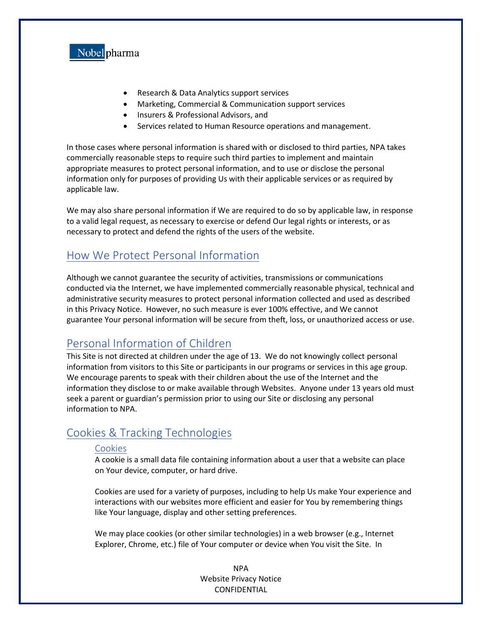

- Research & Data Analytics support services
- Marketing, Commercial & Communication support services
- Insurers & Professional Advisors, and
- Services related to Human Resource operations and management.

In those cases where personal information is shared with or disclosed to third parties, NPA takes commercially reasonable steps to require such third parties to implement and maintain appropriate measures to protect personal information, and to use or disclose the personal information only for purposes of providing Us with their applicable services or as required by applicable law.

We may also share personal information if We are required to do so by applicable law, in response to a valid legal request, as necessary to exercise or defend Our legal rights or interests, or as necessary to protect and defend the rights of the users of the website.

## How We Protect Personal Information

Although we cannot guarantee the security of activities, transmissions or communications conducted via the Internet, we have implemented commercially reasonable physical, technical and administrative security measures to protect personal information collected and used as described in this Privacy Notice. However, no such measure is ever 100% effective, and We cannot guarantee Your personal information will be secure from theft, loss, or unauthorized access or use.

## Personal Information of Children

This Site is not directed at children under the age of 13. We do not knowingly collect personal information from visitors to this Site or participants in our programs or services in this age group. We encourage parents to speak with their children about the use of the Internet and the information they disclose to or make available through Websites. Anyone under 13 years old must seek a parent or guardian's permission prior to using our Site or disclosing any personal information to NPA.

## Cookies & Tracking Technologies

#### **Cookies**

A cookie is a small data file containing information about a user that a website can place on Your device, computer, or hard drive.

Cookies are used for a variety of purposes, including to help Us make Your experience and interactions with our websites more efficient and easier for You by remembering things like Your language, display and other setting preferences.

We may place cookies (or other similar technologies) in a web browser (e.g., Internet Explorer, Chrome, etc.) file of Your computer or device when You visit the Site. In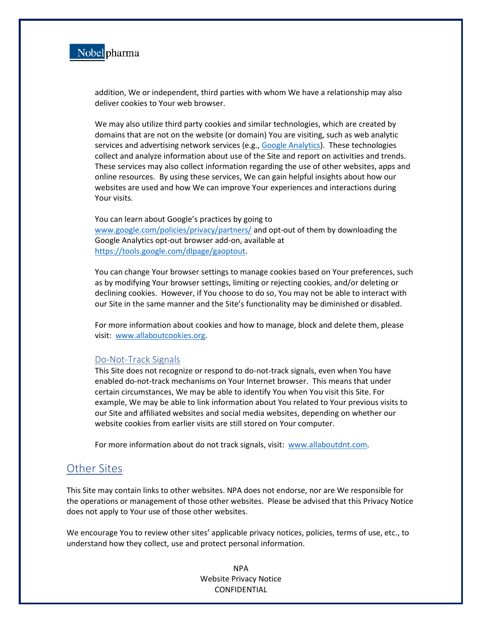

addition, We or independent, third parties with whom We have a relationship may also deliver cookies to Your web browser.

We may also utilize third party cookies and similar technologies, which are created by domains that are not on the website (or domain) You are visiting, such as web analytic services and advertising network services (e.g., [Google Analytics\)](https://developers.google.com/analytics/devguides/collection/analyticsjs/cookie-usage?hl=en). These technologies collect and analyze information about use of the Site and report on activities and trends. These services may also collect information regarding the use of other websites, apps and online resources. By using these services, We can gain helpful insights about how our websites are used and how We can improve Your experiences and interactions during Your visits.

You can learn about Google's practices by going to [www.google.com/policies/privacy/partners/](http://www.google.com/policies/privacy/partners/) and opt-out of them by downloading the Google Analytics opt-out browser add-on, available at [https://tools.google.com/dlpage/gaoptout.](https://tools.google.com/dlpage/gaoptout)

You can change Your browser settings to manage cookies based on Your preferences, such as by modifying Your browser settings, limiting or rejecting cookies, and/or deleting or declining cookies. However, if You choose to do so, You may not be able to interact with our Site in the same manner and the Site's functionality may be diminished or disabled.

For more information about cookies and how to manage, block and delete them, please visit: [www.allaboutcookies.org.](http://www.allaboutcookies.org/)

#### Do-Not-Track Signals

This Site does not recognize or respond to do-not-track signals, even when You have enabled do-not-track mechanisms on Your Internet browser. This means that under certain circumstances, We may be able to identify You when You visit this Site. For example, We may be able to link information about You related to Your previous visits to our Site and affiliated websites and social media websites, depending on whether our website cookies from earlier visits are still stored on Your computer.

For more information about do not track signals, visit: [www.allaboutdnt.com](http://www.allaboutdnt.com/)*.*

## Other Sites

This Site may contain links to other websites. NPA does not endorse, nor are We responsible for the operations or management of those other websites. Please be advised that this Privacy Notice does not apply to Your use of those other websites.

We encourage You to review other sites' applicable privacy notices, policies, terms of use, etc., to understand how they collect, use and protect personal information.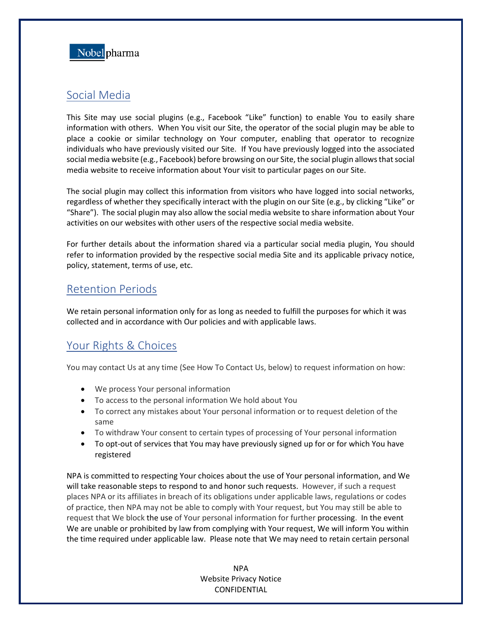

# Social Media

This Site may use social plugins (e.g., Facebook "Like" function) to enable You to easily share information with others. When You visit our Site, the operator of the social plugin may be able to place a cookie or similar technology on Your computer, enabling that operator to recognize individuals who have previously visited our Site. If You have previously logged into the associated social media website (e.g., Facebook) before browsing on our Site, the social plugin allows that social media website to receive information about Your visit to particular pages on our Site.

The social plugin may collect this information from visitors who have logged into social networks, regardless of whether they specifically interact with the plugin on our Site (e.g., by clicking "Like" or "Share"). The social plugin may also allow the social media website to share information about Your activities on our websites with other users of the respective social media website.

For further details about the information shared via a particular social media plugin, You should refer to information provided by the respective social media Site and its applicable privacy notice, policy, statement, terms of use, etc.

## Retention Periods

We retain personal information only for as long as needed to fulfill the purposes for which it was collected and in accordance with Our policies and with applicable laws.

# Your Rights & Choices

You may contact Us at any time (See How To Contact Us, below) to request information on how:

- We process Your personal information
- To access to the personal information We hold about You
- To correct any mistakes about Your personal information or to request deletion of the same
- To withdraw Your consent to certain types of processing of Your personal information
- To opt-out of services that You may have previously signed up for or for which You have registered

NPA is committed to respecting Your choices about the use of Your personal information, and We will take reasonable steps to respond to and honor such requests. However, if such a request places NPA or its affiliates in breach of its obligations under applicable laws, regulations or codes of practice, then NPA may not be able to comply with Your request, but You may still be able to request that We block the use of Your personal information for further processing. In the event We are unable or prohibited by law from complying with Your request, We will inform You within the time required under applicable law. Please note that We may need to retain certain personal